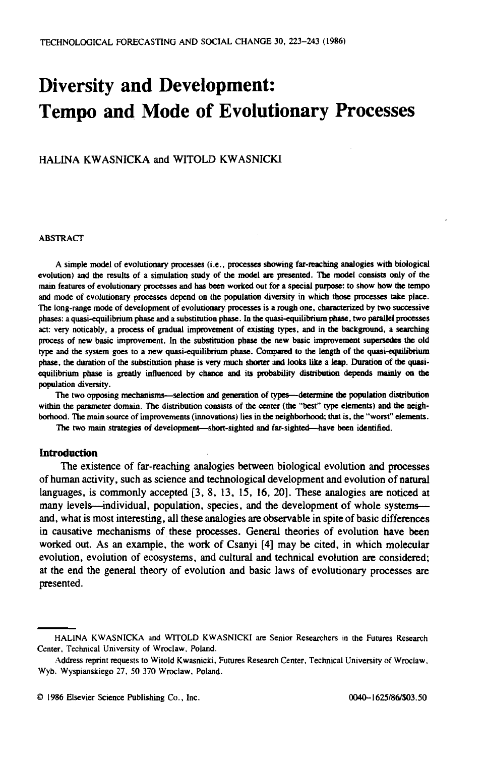# **Diversity and Development: Tempo and Mode of Evolutionary Processes**

HALINA KWASNICKA and WITOLD KWASNICKI

# **ABSTRACT**

A simple model of evolutionary processes (i.e., processes showing far-reaching analogies with biological evolution) and the results of a simulation study of **the** model **arc** presented. Thc model consists only of the main feanues of evolutionary processes **aod has** been worked out fa a special purpose: to show **how** thc tempo and mode of evolutionary processes depend on the population diversity in which **those** processes **take** place. The long-range mode of development of evolutionary processes is a rough one, characterized by two successive phases: a quasi-equilibrium phase and a substitution phase. In the quasi-equilibrium phase, two parallel processes act: very noticably, a process of gradual improvement of existing types, and in the background, a searching process of new basic improvement. In the substitution phase the new basic improvement supersedes the old type and the system goes to a new quasi-equilibrium phase. Compared to the length of the quasi-equilibrium phase, the duration of the substitution phase is very much shorter and looks like a leap. Duration of the quasiequilibrium phase is greatly influenced by chance and its probability distribution depends mainly on the population diversity.

The two opposing mechanisms—selection and generation of types—determine the population distribution **within** the parameter domain. The distribution consists of **the** center (the "best" **type** elements) **and** the neighborhood. The main source of improvements (innovations) lies in the neighborhood; that is, the "worst" elements.

The two main strategies of development-short-sighted and far-sighted-have been identified.

# **Introduction**

The existence of far-reaching analogies between biological evolution and processes of human activity, such as science and technological development and evolution of natural languages, is commonly accepted [3, **8,** 13, 15, 16, **201.** These analoges **are** noticed at many levels—individual, population, species, and the development of whole systems and, what is most interesting, all these analogies **are** observable in spite of basic differences in causative mechanisms of these processes. General theories of evolution have been worked out. As an example, the work of Csanyi [4] may be cited, in which molecuiar evolution, evolution of ecosystems, and cultural and technical evolution are considered; at the end the general theory of evolution and basic laws of evolutionary processes are presented.

HALINA KWASNICKA and WITOLD KWASNICKI are Senior Researchers in the Futures Research Center, Technical University of Wroclaw, Poland.

Address reprint requests to Witold Kwasnicki. Futures Research Center. Technical University of Wroclaw, Wyb. Wyspianskiego 27, 50 370 Wrocław, Poland.

<sup>0</sup> 1986 Elsevier Science Publishing Co., Inc. OWO- 1625/86/503.50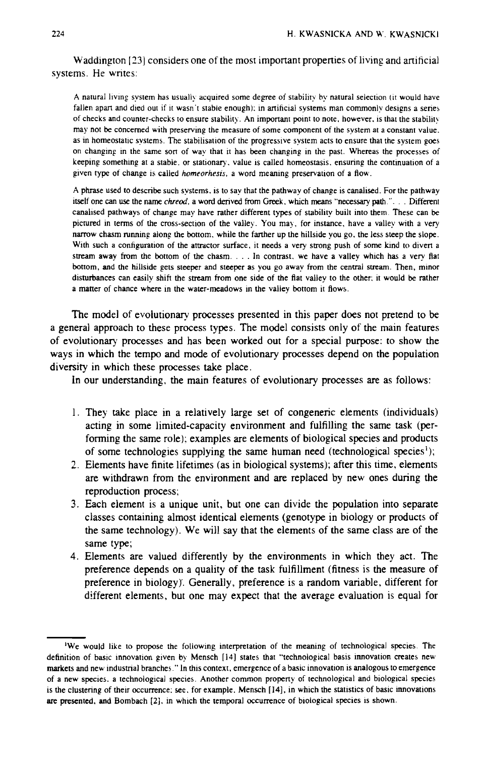Waddington [23] considers one of the most important properties of living and artificial systems. He writes:

A natural living system has usually acquired some degree of stability by natural selection (it would have fallen apart and died out if it wasn't stable enough); in artificial systems man commonly designs a series of checks and counter-checks to ensure stability. An important point to note, however, is that the stability may not **be** concerned with preserving the measure of some component of the system at a constant value. as in homeostatic systems. The stabilisation of the progressive system acts to ensure that the system goes on changing in the same son of way that it has been changing in the past. Whereas the processes of  $k$ eeping something at a stable, or stationary, value is called homeostasis, ensuring the continuation of a given **type** of change is called *homeorhesis,* a word meaning preservation of a Aouv.

**A** phrase used to describe such systems. is to say that the pathway of change is canalised. For the pathway itself one **can** use the name *chreod,* a word denved from Greek. which means "necessary path ". . . Different canalised pathways of change may have rather different types of stability built into them. These can be picrured in terms of the cross-section of the valley. You may, for instance, have a valley with a very narrow chasm running along the bottom, while the farther up the hillside you go. the less steep the slope. With such a configuration of the attractor surface, it needs a very strong push of some kind to divert a stream away from the bottom of the chasm. . . . In contrast. we have a valley which has a very flat bottom, and the hillside gets steeper and steeper as you go away from the central sueam. Then, minor disrurbances can easily shift the stream from one side of the Aat valley to the other; it would **be** rather a matter of chance where in the water-meadows in the valley bottom it flows.

The model of evolutionary processes presented in this paper does not pretend to be a general approach to these process types. The model consists only of the main features of evolutionary processes and has been worked out for a special purpose: to show the ways in which the tempo and mode of evolutionary processes depend on the population diversity in which these processes take place.

In our understanding, the main features of evolutionary processes are as follows:

- 1. They take place in a relatively large set of congeneric elements (individuals) acting in some limited-capacity environment and fulfilling the same task (performing the same role); examples are elements of biological species and products of some technologies supplying the same human need (technological species<sup>1</sup>);
- 2. Elements have finite lifetimes (as in biological systems); after this time, elements are withdrawn from the environment and are replaced by new ones during the reproduction process;
- 3. Each element is a unique unit, but one can divide the population into separate classes containing almost identical elements (genotype in biology or products of the same technology). We will say that the elements of the same class are of the same type;
- 4. Elements are valued differently by the environments in which they act. The preference depends on a quality of the task fulfillment (fitness is the measure of preference in biology). Generally, preference is a random variable, different for different elements, but one may expect that the average evaluation is equal for

<sup>&#</sup>x27;We would like to propose the following interpretation of the meaning of technological species. The definition of basic innovation given by Mensch [14] states that "technological basis innovation creates new markets and new industrial branches." In this context, emergence of a basic innovation is analogous to emergence of a new species. a technological species. Another common property of technological and biological species is the clustering of their occurrence: see. for example. Mensch [14], in which the statistics of basic innovations are presented, and Bombach [2], in which the temporal occurrence of biological species is shown.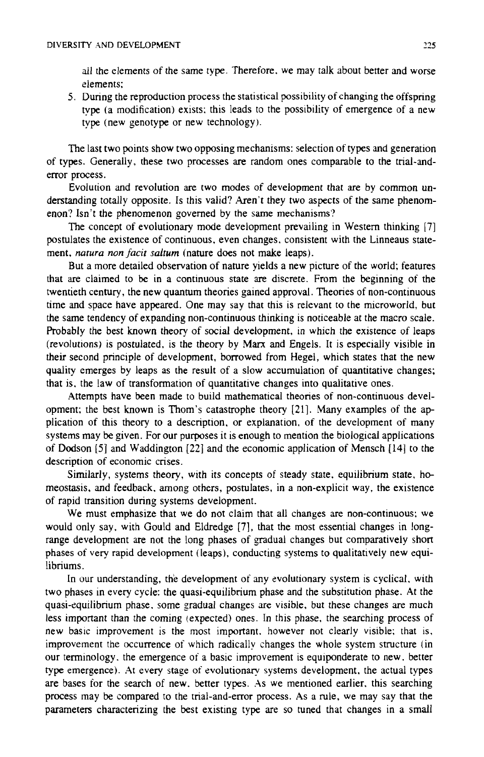all the elements of the same type. Therefore, we may talk about better and worse elements;

5. During the reproduction process the statistical possibility of changing the offspring type (a modification) exists: this leads to the possibility of emergence of a new type (new genotype or new technology).

The last two points show two opposing mechanisms: selection of types and generation of types. Generally, these two processes are random ones comparable to the trial-anderror process.

Evolution and revolution are two modes of development that are by common understanding totally opposite. Is this valid? Aren't they two aspects of the same phenomenon? Isn't the phenomenon governed by the same mechanisms'?

The concept of evolutionary mode development prevailing in Western thinking [7] postulates the existence of continuous, even changes, consistent with the Linneaus statement. *narura* non **facit saltum** (nature does not make leaps).

But a more detailed observation of nature yields a new picture of the world; features that are claimed to be in a continuous state are discrete. From the beginning of the twentieth century, the new quantum theories gained approval. Theories of non-continuous time and space have appeared. One may say that this is relevant to the microworld, but the same tendency of expanding non-continuous thinking is noticeable at the macro scale. Probably the best known theory of social development, in which the existence of leaps (revolutions) is postulated, is the theory by Marx and Engels. It is especially visible in their second principle of development, borrowed from Hegel, which states that the new quality emerges by leaps as the result of a slow accumulation of quantitative changes; that is. the law of transformation of quantitative changes into qualitative ones.

Attempts have been made to build mathematical theories of non-continuous development; the best known is Thom's catastrophe theory **[21.].** Many examples of the ap plication of this theory to a description, or explanation, of the development of many systems may be given. For our purposes it is enough to mention the biological applications of Dodson 151 and Waddington **[22]** and the economic application of Mensch [14] to the description of economic crises.

Similarly, systems theory, with its concepts of steady state, equilibrium state, homeostasis, and feedback. among others, postulates, in a non-explicit way, the existence of rapid transition during systems development.

We must emphasize that we do not claim that all changes are non-continuous; we would only say, with Gould and Eldredge **[7],** that the most essential changes in longrange development are not the long phases of gradual changes but comparatively short phases of very rapid development (leaps), conducting systems to qualitatively new equilibriums.

In our understanding, the development of any evolutionary system is cyclical, with two phases in every cycle: the quasi-equilibrium phase and the substitution phase. At the quasi-equilibrium phase. some gradual changes *are* visible, but these changes are much less important than the coming (expected) ones. In this phase, the searching process of new basic improvement is the most important. however not clearly visible; that is, improvement the occurrence of which radically changes the whole system structure (in our terminology. the emergence of a basic improvement is equiponderate to new. better type emergence). At every stage of evolutionary systems development, the actual types are bases for the search of new. better types. As we mentioned earlier, this searching process may be compared to the trial-and-error process. As a rule, we may say that the parameters characterizing the best existing type are so tuned that changes in a small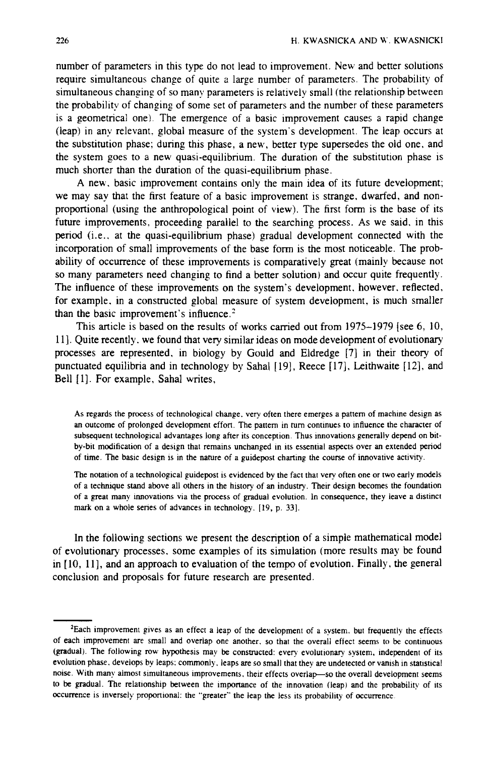number of parameters in this type do not lead to improvement. New and better solutions require simultaneous change of quite **2** large number of parameters. The probability of simultaneous changing of so many parameters is relatively small (the relationship between the probability of changing of some set of parameters and the number of these parameters is a geometrical one). The emergence of a basic improvement causes a rapid change (leap) in any relevant. global measure of the system's development. The leap occurs at the substitution phase: during this phase, a new, better type supersedes the old one. and the system goes to a new quasi-equilibrium. The duration of the substitution phase is much shorter than the duration of the quasi-equilibrium phase.

A new. basic improvement contains only the main idea of its future development; we may say that the first feature of a basic improvement is strange, dwarfed, and nonproportional (using the anthropological point of view). The first form is the base of its future improvements. proceeding parallel to the searching process. As we said. in this period (i.e.. at the quasi-equilibrium phase) gradual development connected with the incorporation of small improvements of the base form is the most noticeable. The probability of occurrence of these improvements is comparatively great (mainly because not so many parameters need changing to find a better solution) and occur quite frequently. The influence of these improvements on the system's development. however. reflected, for example. in a constructed global measure of system development, is much smaller than the basic improvement's influence.<sup>2</sup>

This article is based on the results of works carried out from 1975-1979 [see 6, 10, **111.** Quite recently. we found that very similar ideas on mode development of evolutionary processes are represented, in biology by Gould and Eldredge **[7]** in their theory of punctuated equilibria and in technology by Sahal **[19],** Reece **[17],** Leithwaite **[12],** and Bell **[I].** For example, Sahal writes,

As regards the process of technological change, very often there emerges a pattern of machine design as an outcome of prolonged development effort. The pattern in turn continues to influence the character of subsequent technological advantages long after its conception. Thus innovations generally depend on bitby-bit modification of a design that remains unchanged in its essential aspects over an extended period of time. The basic design is in the nature of a guidepost charting the course of innovative activity.

The notation of a technological guidepost is evidenced by the fact that very often one or two early models of a technrque stand above all others in the history of an industry. Their design becomes the foundation of a peat many innovations via the process of gradual evolution. In consequence, they leave a drstinct mark on a whole senes of advances in technology. [19, p. 33].

In the following sections we present the description of a simple mathematical model of evolutionary processes. some examples of its simulation (more results may be found in **[lo, 111,** and an approach to evaluation of the tempo of evolution. Finally, the general conclusion and proposals for future research are presented.

<sup>&</sup>lt;sup>2</sup>Each improvement gives as an effect a leap of the development of a system. but frequently the effects of each improvemenr are small and overlap one another. so that the overall effect seems to be continuous (gradual). The following row hypothesis may be constructed: every evolutionary system, independent of its evolution phase, develops by leaps; commonly, leaps are so small that they are undetected or vanish in statistical noise. With many almost simultaneous improvements, their effects overlap-so the overall development seems to be gradual. The relationship between the importance of the innovation (leap) and the probability of its occurrence is inversely proportional: the "greater" the leap the less its probability of occurrence.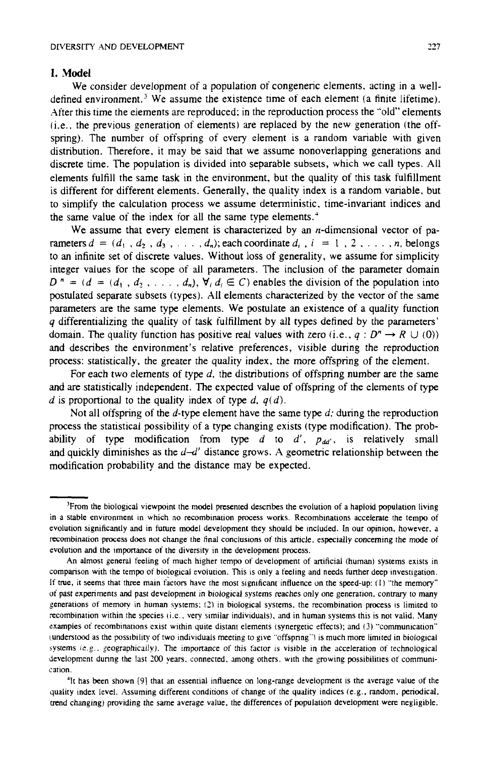# **I. .Model**

We consider development of a population of congeneric elements, acting in a welldefined environment.<sup>3</sup> We assume the existence time of each element (a finite lifetime). Xfter this time the elements are reproduced; in the reproduction process the "old" elements (i.e.. the previous generation of elements) are replaced by the new generation (the offspring). The number of offspring of every element is a random variable with given distribution. Therefore, it may be said that we assume nonoverlapping generations and discrete time. The population is divided into separable subsets, which we call types. All elements fulfill the same task in the environment, but the quality of this task fulfillment is different for different elements. Generally, the quality index is a random variable, but to simplify the calculation process we assume deterministic, time-invariant indices and the same value of the index for all the same type elements.'

We assume that every element is characterized by an *n*-dimensional vector of parameters  $d = (d_1, d_2, d_3, \ldots, d_n)$ ; each coordinate  $d_i$ ,  $i = 1, 2, \ldots, n$ , belongs to an infinite set of discrete values. Without loss of generality, we assume for simplicity integer values for the scope of all parameters. The inclusion of the parameter domain  $D'' = (d = (d_1, d_2, \ldots, d_n), \forall i \ d_i \in C$  enables the division of the population into postulated separate subsets (types). All elements characterized by the vector of the same parameters are the same type elements. We postulate an existence of a quality function q differentializing the quality of task fulfillment by all types defined by the parameters' domain. The quality function has positive real values with zero (i.e.,  $q : D^n \to R \cup (0)$ ) and describes the environment's relative preferences, visible during the reproduction process: statistically, the greater the quality index, the more offspring of the element.

For each two elements of type  $d$ , the distributions of offspring number are the same and are statistically independent. The expected value of offspring of the elements of type d is proportional to the quality index of type d,  $q(d)$ .

Not all offspring of the  $d$ -type element have the same type  $d$ ; during the reproduction process the statistical possibility of a type changing exists (type modification). The probability of type modification from type  $d$  to  $d'$ ,  $p_{dd'}$ , is relatively small and quickly diminishes as the  $d-d'$  distance grows. A geometric relationship between the modification probability and the distance may be expected.

<sup>&</sup>lt;sup>3</sup>From the biological viewpoint the model presented describes the evolution of a haploid population living in a stable environment in which no recombination process works. Recombinations accelerate the tempo of evolution significantly and in future model development they should **be** tncluded. In our opinion, however. a recombination process does not change the final conclusions of this article, especially concerning the mode of evolution and the importance of the diversity in the development process.

An almost general feeling of much higher tempo of development of artificial (human) systems exists in comparison with the tempo of biological evolution. This is only a feeling and needs further deep investigation. If true, it seems that three main factors have the most significant influence on the speed-up: (1) "the memory" of past experiments and past development in biological systems reaches only one generation. contrary to many generations of memory in human systems: (2) in biological systems, the recombination process is limited to recombination within the species (i.e., very similar individuals), and in human systems this is not valid. Many examples of recombinations exist within quite distant elements (synergetic effects); and (3) "communication" (understood as the possibility of two individuals meeting to give "offspring") is much more limited in biological systems (e.g., geographically). The importance of this factor is visible in the acceleration of technological development during the last 200 years, connected, among others, with the growing possibilities of communication.

<sup>&#</sup>x27;It has been shown **[9]** that an essential influence on long-range development IS the average value of the quality index level. Assuming different conditions of change of the quality indices (e.g.. random. periodical. crend changingj providing the same average value, the differences of population development were negligible.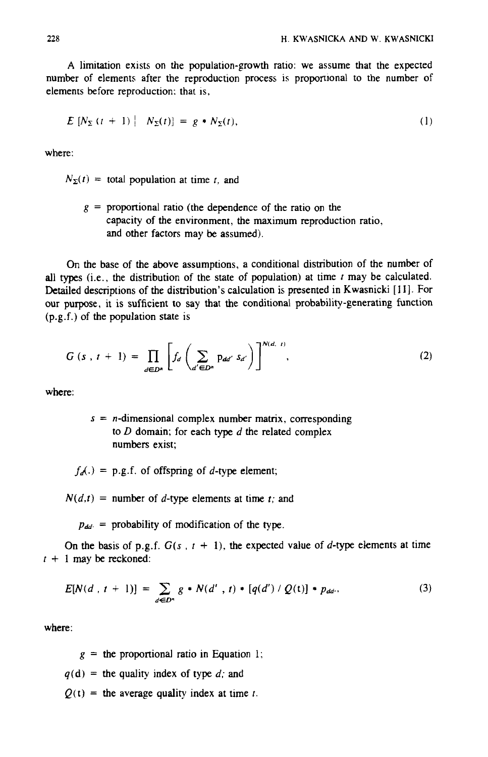**A** limitation exists on the population-growth ratio: we assume that the expected number of elements after the reproduction process is proportional to the number of elements before reproduction: that is,

$$
E[N_{\Sigma}(t+1)] \mid N_{\Sigma}(t)] = g * N_{\Sigma}(t), \qquad (1)
$$

where:

 $N_{\Sigma}(t)$  = total population at time t, and

 $g =$  proportional ratio (the dependence of the ratio on the capacity of the environment, the maximum reproduction ratio, and other factors may be assumed).

On the base of the above assumptions, a conditional dismbution of the number of all types (i.e., the distribution of the state of population) at time  $t$  may be calculated. Detailed descriptions of the distribution's calculation is presented in Kwasnicki [I I]. For our purpose, it is sufficient to say that the conditional probability-generating function (p.g.f.) of the population state is

$$
G(s, t + 1) = \prod_{d \in D^n} \left[ f_d \left( \sum_{d' \in D^n} p_{dd'} s_{d'} \right) \right]^{N(d, t)},
$$
 (2)

where:

 $s = n$ -dimensional complex number matrix, corresponding to  $D$  domain; for each type  $d$  the related complex numbers exist:

 $f_d(.) = p.g.f.$  of offspring of d-type element;

 $N(d,t)$  = number of d-type elements at time t; and

 $p_{dd}$  = probability of modification of the type.

On the basis of p.g.f.  $G(s, t + 1)$ , the expected value of d-type elements at time  $t + 1$  may be reckoned:

$$
E[N(d, t + 1)] = \sum_{d \in D^n} g * N(d', t) * [q(d') / Q(t)] * p_{dd'},
$$
 (3)

where:

 $g =$  the proportional ratio in Equation 1;

- $q(d)$  = the quality index of type d; and
- $Q(t)$  = the average quality index at time t.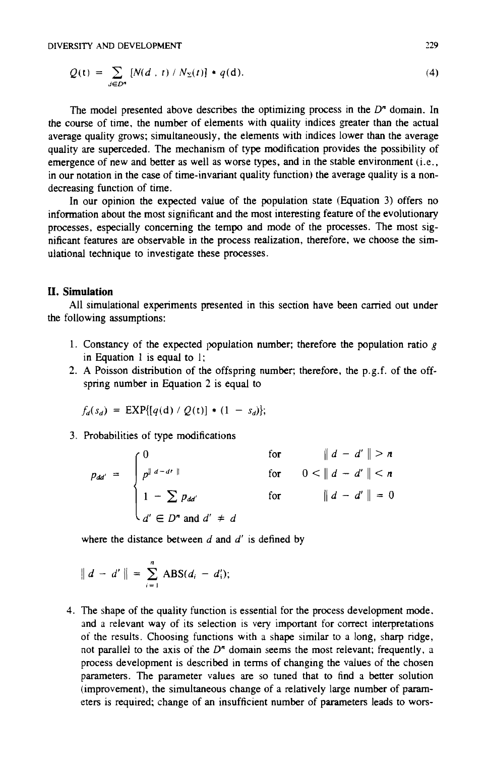**DIVERSITY AND DEVELOPMENT 229** 

$$
Q(t) = \sum_{d \in D^n} [N(d, t) / N_{\Sigma}(t)] \cdot q(d). \tag{4}
$$

The model presented above describes the optimizing process in the  $D<sup>n</sup>$  domain. In the course of time, the number of elements with quality indices greater than the actual average quality grows; simultaneously, the elements with indices lower than the average quality are superceded. The mechanism of type modification provides the possibility of emergence of new and better as well as worse types, and in the stable environment (i.e., in our notation in the case of time-invariant quality function) the average quality is a nondecreasing function of time.

In our opinion the expected value of the population state (Equation **3)** offers no information about the most significant and the most interesting feature of the evolutionary processes, especially concerning the tempo and mode of the processes. The most significant features are observable in the process realization, therefore, we choose the simulational technique to investigate these processes.

# **11. Simulation**

All simulational experiments presented in this section have been camed out under the following assumptions:

- 1. Constancy of the expected population number; therefore the population ratio  $g$ in Equation **1** is equal to I;
- 2. A Poisson distribution of the offspring number; therefore, the p.g.f. of the offspring number in Equation 2 is equal to

$$
f_d(s_d) = EXP\{[q(d) / Q(t)] * (1 - s_d)\};
$$

**3.** Probabilities of type modifications

$$
p_{dd'} = \begin{cases} 0 & \text{for } |d - d'|| > n \\ p^{\|d - d'||} & \text{for } 0 < ||d - d'|| < n \\ 1 - \sum p_{dd'} & \text{for } |d - d'|| = 0 \\ d' \in D^n \text{ and } d' \neq d \end{cases}
$$

where the distance between **d** and **d'** is defined by

$$
\| d - d' \| = \sum_{i=1}^{n} \text{ABS}(d_i - d'_i);
$$

4. The shape of the quality function is essential for the process development mode. and a relevant way of its selection is very important for correct interpretations of the results. Choosing functions with a shape similar to a long, sharp ridge, not parallel to the axis of the **D"** domain seems the most relevant; frequently, a process development is described in terms of changing the values of the chosen parameters. The parameter values are so tuned that to find a better solution (improvement), the simultaneous change of a relatively large number of parameters is required; change of an insufficient number of parameters leads to wors-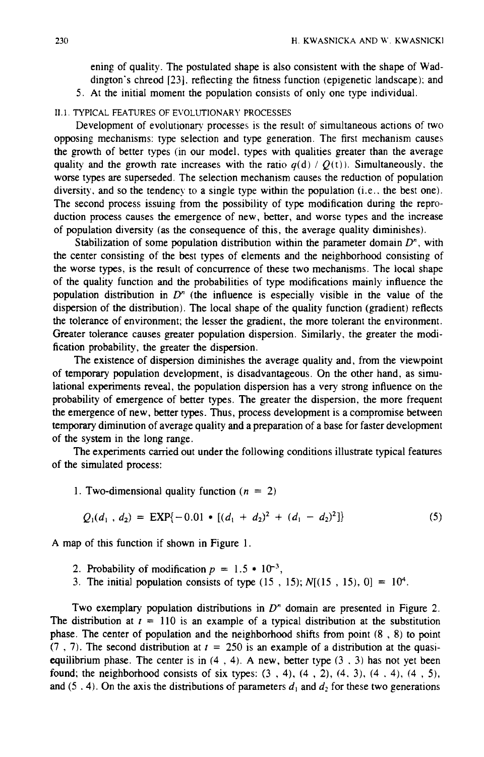ening of quality. The postulated shape is also consistent with the shape of Waddington's chreod [33]. reflecting the fitness function (epigenetic landscape): and 5. At the initial moment the population consists of only one type individual.

# 11.1. TYPICAL FEATURES OF EVOLUTIONARY PROCESSES

Development of evolutionary processes is the result of simultaneous actions of two opposing mechanisms: type selection and type generation. The first mechanism causes the growth of better types (in our model. types with qualities greater than the average quality and the growth rate increases with the ratio  $q(d) / Q(t)$ . Simultaneously, the worse types are superseded. The selection mechanism causes the reduction of population diversity, and so the tendency to a single type within the population (i.e.. the best one). The second process issuing from the possibility of type modification during the reproduction process causes the emergence of new, better, and worse types and the increase of population diversity (as the consequence of this, the average quality diminishes).

Stabilization of some population distribution within the parameter domain  $D<sup>n</sup>$ , with the center consisting of the best types of elements and the neighborhood consisting of the worse types, is the result of concurrence of these two mechanisms. The local shape of the quality function and the probabilities of type modifications mainly influence the population distribution in  $D<sup>n</sup>$  (the influence is especially visible in the value of the dispersion of the distribution). The local shape of the quality function (gradient) reflects the tolerance of environment; the lesser the gradient, the more tolerant the environment. Greater tolerance causes greater population dispersion. Similarly, the greater the modification probability, the greater the dispersion.

The existence of dispersion diminishes the average quality and, from the viewpoint of temporary population development, is disadvantageous. On the other hand, as simulational experiments reveal, the population dispersion has a very strong influence on the probability of emergence of better types. The greater the dispersion, the more frequent the emergence of new, better types. Thus, process development is a compromise between temporary diminution of average quality and a preparation of a base for faster development of the system in the long range.

The experiments carried out under the following conditions illustrate typical features of the simulated process:

1. Two-dimensional quality function 
$$
(n = 2)
$$

$$
Q_1(d_1, d_2) = \text{EXP}\{-0.01 * [(d_1 + d_2)^2 + (d_1 - d_2)^2]\}\
$$
 (5)

A map of this function if shown in Figure 1.

- 2. Probability of modification  $p = 1.5 \cdot 10^{-3}$ ,
- 3. The initial population consists of type  $(15, 15)$ ;  $N[(15, 15), 0] = 10<sup>4</sup>$ .

Two exemplary population distributions in  $D<sup>n</sup>$  domain are presented in Figure 2. The distribution at  $t = 110$  is an example of a typical distribution at the substitution phase. The center of population and the neighborhood shifts from point (8 , 8) to point (7, 7). The second distribution at  $t = 250$  is an example of a distribution at the quasiequilibrium phase. The center is in  $(4, 4)$ . A new, better type  $(3, 3)$  has not yet been found; the neighborhood consists of six types:  $(3, 4)$ ,  $(4, 2)$ ,  $(4, 3)$ ,  $(4, 4)$ ,  $(4, 5)$ , and (5, 4). On the axis the distributions of parameters  $d_1$  and  $d_2$  for these two generations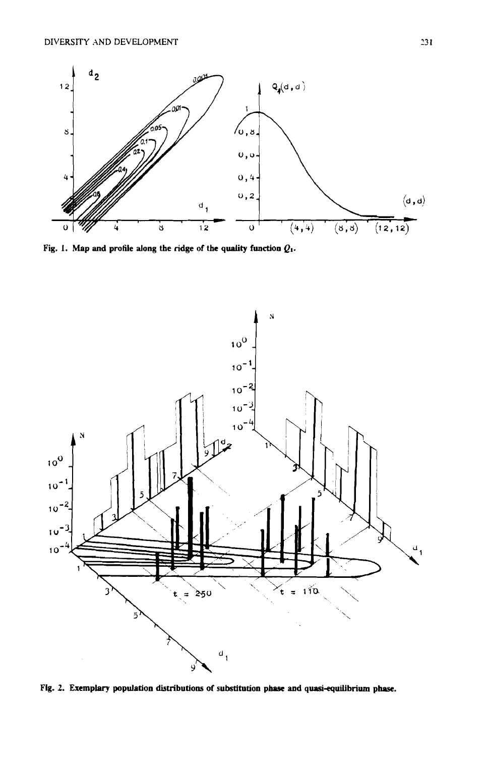

Fig. 1. Map and profile along the ridge of the quality function  $Q_1$ .



Fig. 2. Exemplary population distributions of substitution phase and quasi-equilibrium phase.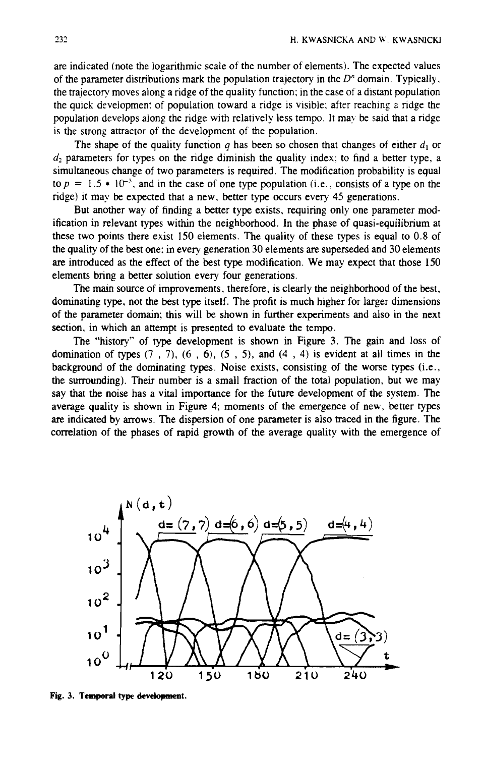**are** indicated (note the logarithmic scale of the number of elements). The expected values of the parameter distributions mark the population trajectory in the  $D<sup>n</sup>$  domain. Typically, the trajectoy moves along a ridge of the quality function; in the case of a distant population the quick development of population toward a ridge is visible; after reaching a ridge the population develops along the ridge with relatively less tempo. It may be said that a ridge is the strong attractor of the development of the population.

The shape of the quality function q has been so chosen that changes of either  $d_1$  or  $d_2$  parameters for types on the ridge diminish the quality index; to find a better type, a simultaneous change of two parameters is required. The modification probability is equal to  $p = 1.5 \cdot 10^{-3}$ , and in the case of one type population (i.e., consists of a type on the ridge) it may be expected that a new, better type occurs every 45 generations.

But another way of finding a better type exists, requiring only one parameter modification in relevant types within the neighborhood. In the phase of quasi-equilibrium at these two points there exist 150 elements. The quality of these types is equal to 0.8 of the quality of the best one: in every generation 30 elements **are** superseded and 30 elements **are** introduced as the effect of the best type modification. We may expect that those I50 elements bring a better solution every four generations.

The main source of improvements, therefore, is clearly the neighborhood of the best, dominating type, not the best type itself. The profit is much higher for larger dimensions of the parameter domain; this will be shown in further experiments and also in the next section, in which an attempt is presented to evaluate the tempo.

The "history" of type development is shown in Figure 3. The gain and loss of domination of types  $(7, 7)$ ,  $(6, 6)$ ,  $(5, 5)$ , and  $(4, 4)$  is evident at all times in the backpound of the dominating types. Noise exists, consisting of the worse types (i.e., the surrounding). Their number is a small fraction of the total population, but we may say that the noise has a vital importance for the future development of the system. The average quality is shown in Figure 4; moments of the emergence of new, better types **are** indicated by arrows. The dispersion of one parameter is also traced in the figure. The correlation of the phases of rapid growth of the average quality with the emergence of



**Fig. 3. Temporal type devdopment.**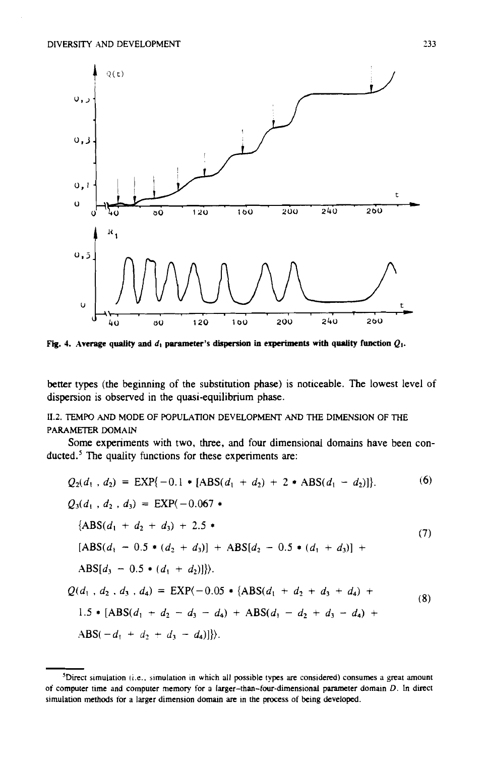

**Fig. 4.** Average quality and  $d_1$  parameter's dispersion in experiments with quality function  $Q_1$ .

better types (the beginning of the substitution phase) is noticeable. The lowest level of dispersion is observed in the quasi-equilibrium phase.

**II.2.** TEMPO AND MODE OF POPULATION DEVELOPMENT **AND** THE DIMENSION OF THE PARAMETER DOMAIN

Some experiments with two, three, and four dimensional domains have been conducted. $5$  The quality functions for these experiments are:

$$
Q_2(d_1, d_2) = EXP\{-0.1 * [ABS(d_1 + d_2) + 2 * ABS(d_1 - d_2)]\}.
$$
\n(6)  
\n
$$
Q_3(d_1, d_2, d_3) = EXP(-0.067 *
$$
\n
$$
\{ABS(d_1 + d_2 + d_3) + 2.5 *
$$
\n
$$
[ABS(d_1 - 0.5 * (d_2 + d_3)] + ABS[d_2 - 0.5 * (d_1 + d_3)] +
$$
\n
$$
ABS[d_3 - 0.5 * (d_1 + d_2)]\}.
$$
\n
$$
Q(d_1, d_2, d_3, d_4) = EXP(-0.05 * \{ABS(d_1 + d_2 + d_3 + d_4) +
$$
\n
$$
1.5 * [ABS(d_1 + d_2 - d_3 - d_4) + ABS(d_1 - d_2 + d_3 - d_4) +
$$
\n
$$
ABS(-d_1 + d_2 + d_3 - d_4)]\}.
$$
\n(8)

<sup>&</sup>lt;sup>5</sup>Direct simulation (i.e., simulation in which all possible types are considered) consumes a great amount of computer time and computer memory for a larger-than-four-dimensional parameter domain D. In direct simulation methods for a larger dimension domain are in the process of being developed.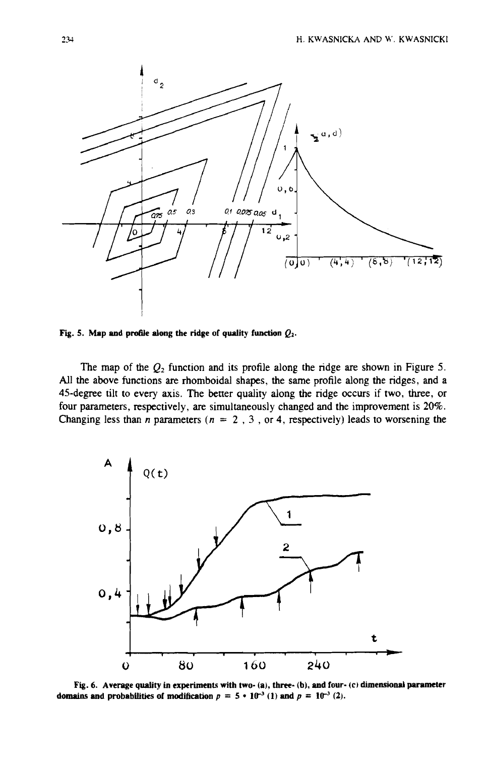

**Fig. 5. Map and profile along the ridge of quality function**  $Q_2$ **.** 

The map of the  $Q_2$  function and its profile along the ridge are shown in Figure 5. All the above functions **are** rhomboidal shapes, the same profile along the ridges, and a 45-degree tilt to every axis. The better quality along the ridge occurs if two, three, or four parameters, respectively, **are** simultaneously changed and the improvement is 20%. Changing less than *n* parameters ( $n = 2$ , 3, or 4, respectively) leads to worsening the



**Fig. 6. Average quality in experiments with two- (a), three- (b), and four- (c) dimensional parameter domains and probabilities of modification**  $p = 5 \cdot 10^{-3}$  **(1) and**  $p = 10^{-3}$  **(2).**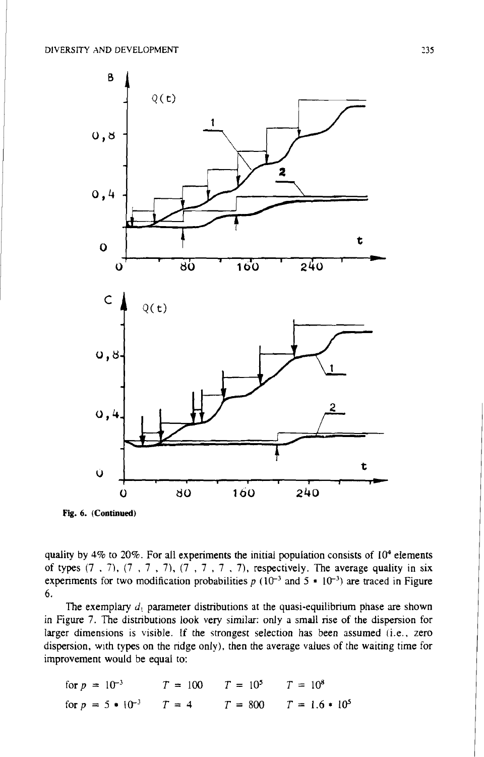



quality by  $4\%$  to  $20\%$ . For all experiments the initial population consists of  $10<sup>4</sup>$  elements of types  $(7, 7), (7, 7, 7), (7, 7, 7, 7)$ , respectively. The average quality in six experiments for two modification probabilities  $p (10^{-3}$  and  $5 * 10^{-3})$  are traced in Figure 6.

The exemplary  $d_1$  parameter distributions at the quasi-equilibrium phase are shown in Figure 7. The distributions look very similar: only a small rise of the dispersion for larger dimensions is visible. If the strongest selection has been assumed (i.e., zero dispersion, with types on the ridge only), then the average values of the waiting time for improvement would be equal to:

for  $p = 10^{-3}$   $T = 100$   $T = 10^5$   $T = 10^8$ for  $p = 5 * 10^{-3}$   $T = 4$   $T = 800$   $T = 1.6 * 10^{5}$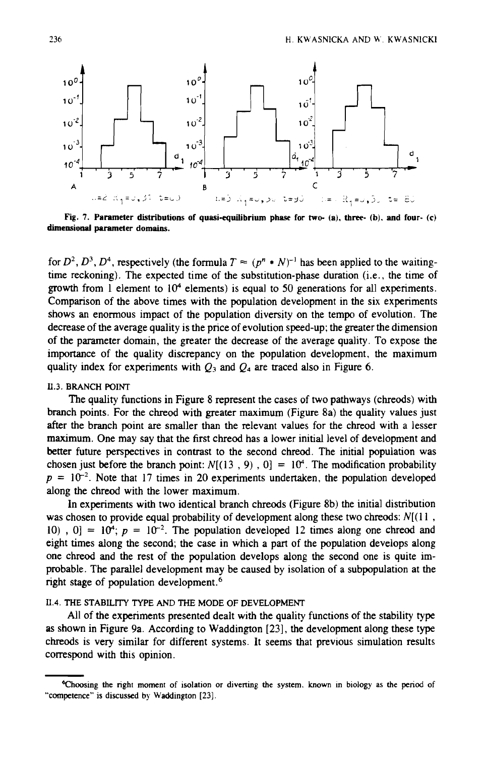

**Fig. 7. Parameter distributions of quasi-equilibrium phase for two- (a), three- (b). and four- (c)**  dimensional parameter domains.

for  $D^2$ ,  $D^3$ ,  $D^4$ , respectively (the formula  $T \approx (p^n \cdot N)^{-1}$  has been applied to the waitingtime reckoning). The expected time of the substitution-phase duration (i.e., the time of growth from 1 element to  $10<sup>4</sup>$  elements) is equal to 50 generations for all experiments. Comparison of the above times with the population development in the six experiments shows an enormous impact of the population diversity on the tempo of evolution. The decrease of the average quality is the price of evolution speed-up; the greater the dimension of the parameter domain, the greater the decrease of the average quality. To expose the importance of the quality discrepancy on the population development, the maximum quality index for experiments with  $O_3$  and  $O_4$  are traced also in Figure 6.

#### U.3. **BRANCH** POINT

The quality functions in Figure 8 represent the cases of two pathways (chreods) with branch points. For the chreod with greater maximum (Figure 8a) the quality values just after the branch point are smaller than the relevant values for the chreod with a lesser maximum. One may say that the first chreod has a lower initial level of development and better future perspectives in contrast to the second chreod. The initial population was chosen just before the branch point:  $N[(13, 9), 0] = 10<sup>4</sup>$ . The modification probability  $p = 10^{-2}$ . Note that 17 times in 20 experiments undertaken, the population developed along the chreod with the lower maximum.

In experiments with two identical branch chreods (Figure 8b) the initial distribution was chosen to provide equal probability of development along these two chreods:  $N[(11, 1, 1)]$ 10),  $0| = 10^4$ ;  $p = 10^{-2}$ . The population developed 12 times along one chreod and eight times along the second; the case in which a part of the population develops along one chreod and the rest of the population develops along the second one is quite improbable. The parallel development may be caused by isolation of a subpopulation at the right stage of population development. $<sup>6</sup>$ </sup>

# **II.4. THE STABILITY TYPE AND THE MODE OF DEVELOPMENT**

All of the experiments presented dealt with the quality functions of the stability type as shown in Figure 9a. According to Waddington [23], the development along these type chreods is very similar for different systems. It seems that previous simulation results correspond with this opinion.

**<sup>6</sup>Chwsing the right moment of isolation or diverting the system. known in biology as the period of "competence" is discussed by Waddington [23].**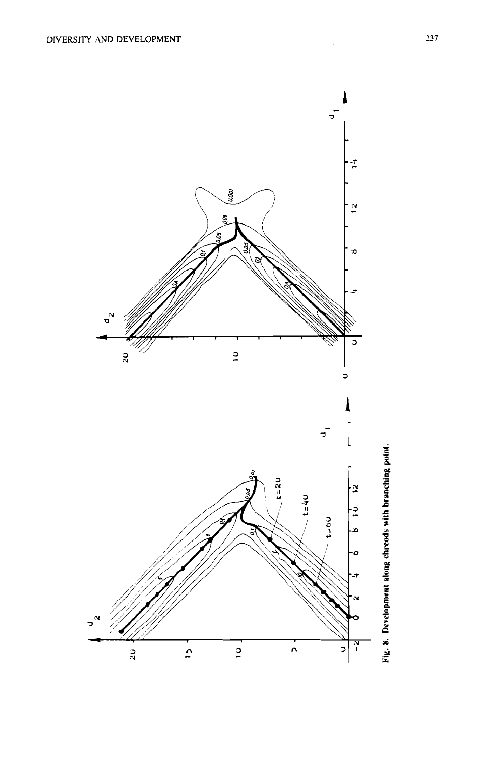

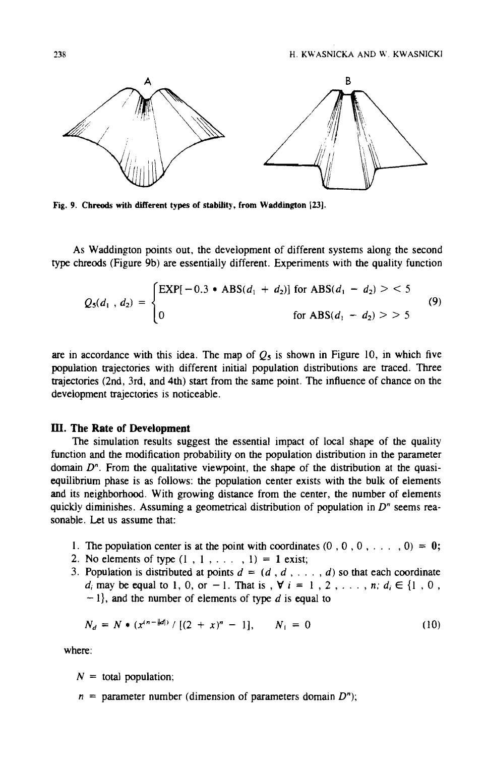

**Fig. 9. Chreods with different types of stability, from Waddington 1231.** 

As Waddington points out, the development of different systems along the second type chreods (Figure 9b) are essentially different. Experiments with the quality function

$$
Q_5(d_1, d_2) = \begin{cases} \text{EXP}[-0.3 * ABS(d_1 + d_2)] \text{ for ABS}(d_1 - d_2) > 5\\ 0 \text{ for ABS}(d_1 - d_2) > 5 \end{cases}
$$
(9)

are in accordance with this idea. The map of  $Q_5$  is shown in Figure 10, in which five population trajectories with different initial population distributions are traced. Three trajectories (2nd, 3rd, and 4th) start from the same point. The influence of chance on the development trajectories is noticeable.

# **IU. The Rate of Development**

The simulation results suggest the essential impact of local shape of the quality function and the modification probability on the population distribution in the parameter domain **D".** From the qualitative viewpoint, the shape of the distribution at the quasiequilibrium phase is as follows: the population center exists with the bulk of elements and its neighborhood. With growing distance from the center, the number of elements quickly diminishes. Assuming a geometrical distribution of population in  $D<sup>n</sup>$  seems reasonable. Let us assume that:

- 1. The population center is at the point with coordinates  $(0, 0, 0, \ldots, 0) = 0;$
- 2. No elements of type  $(1, 1, \ldots, 1) = 1$  exist;
- 3. Population is distributed at points  $d = (d, d, \ldots, d)$  so that each coordinate  $d_i$  may be equal to 1, 0, or -1. That is,  $\forall i = 1, 2, \ldots, n; d_i \in \{1, 0, \ldots\}$  $-1$ , and the number of elements of type d is equal to

$$
N_d = N \bullet (x^{(n - ||d|)} / [(2 + x)^n - 1], \qquad N_1 = 0 \tag{10}
$$

where:

- $N =$  total population;
- $n =$  parameter number (dimension of parameters domain  $D^n$ );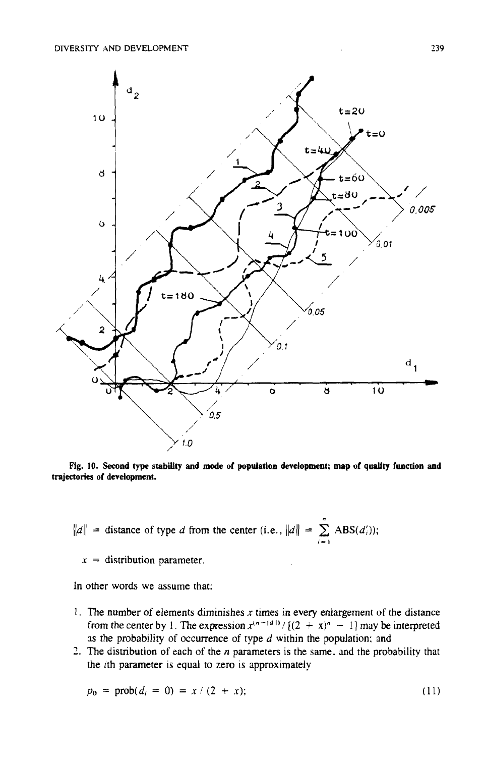

**Fig. 10. Second type stability and mode of population development: map of quality function and trajectories of development.** 

 $||d|| =$  distance of type *d* from the center (i.e.,  $||d|| = \sum_{i=1}^{n} \text{ABS}(d'_i)$ );

 $x =$  distribution parameter.

In other words we assume that:

- 1. The number of elements diminishes  $x$  times in every enlargement of the distance from the center by 1. The expression  $x^{(n-||d||)}/[(2 + x)^n - 1]$  may be interpreted 2s the probability of occurrence of type *d* within the population; and
- 1. The distribution of each of the **n** parameters is the same, and the probability that the ith parameter is equal to zero is approximately

$$
p_0 = \text{prob}(d_i = 0) = x / (2 + x); \tag{11}
$$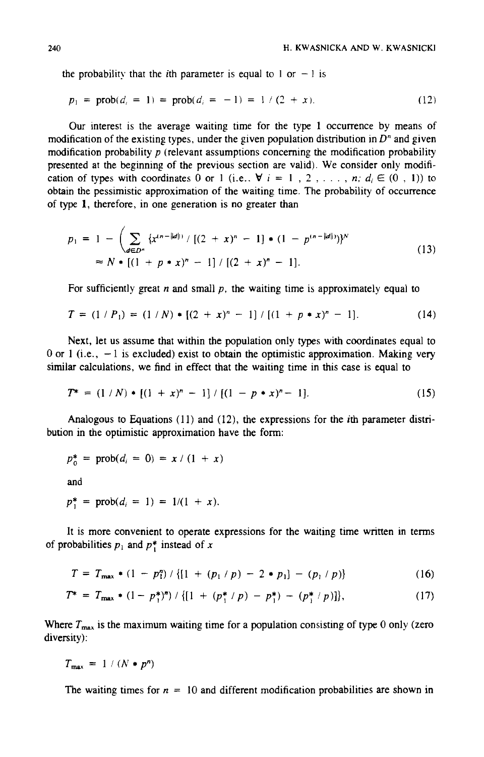the probability that the *i*th parameter is equal to 1 or  $-1$  is

$$
p_1 = \text{prob}(d_i = 1) = \text{prob}(d_i = -1) = 1 / (2 + x). \tag{12}
$$

Our interest is the average waiting time for the type 1 occurrence by means of modification of the existing types, under the given population distribution in  $D<sup>n</sup>$  and given modification probability  $p$  (relevant assumptions concerning the modification probability presented at the beginning of the previous section are valid). We consider only modification of types with coordinates 0 or 1 (i.e.,  $\forall i = 1, 2, ..., n$ ;  $d_i \in (0, 1)$ ) to obtain the pessimistic approximation of the waiting time. The probability of occurrence of **type** 1, therefore, in one generation is no greater than

$$
p_1 = 1 - \left( \sum_{d \in D^n} \{x^{(n-||d||)} / [(2 + x)^n - 1] \cdot (1 - p^{(n-||d||)})\}^N \right)
$$
  
\n
$$
\approx N \cdot [(1 + p \cdot x)^n - 1] / [(2 + x)^n - 1].
$$
\n(13)

For sufficiently great  $n$  and small  $p$ , the waiting time is approximately equal to

$$
T = (1/P_1) = (1/N) \cdot [(2 + x)^n - 1] / [(1 + p \cdot x)^n - 1].
$$
 (14)

Next, let us assume that within the population only types with coordinates equal to 0 or 1 (i.e.,  $-1$  is excluded) exist to obtain the optimistic approximation. Making very similar calculations, we find in effect that the waiting time in this case is equal to

$$
T^* = (1/N) * [(1 + x)^n - 1] / [(1 - p * x)^n - 1]. \tag{15}
$$

Analogous to Equations  $(11)$  and  $(12)$ , the expressions for the *i*th parameter distribution in the optimistic approximation have the form:

$$
p_0^* = \text{prob}(d_i = 0) = x / (1 + x)
$$

and

$$
p_1^* = \text{prob}(d_i = 1) = 1/(1 + x).
$$

It is more convenient to operate expressions for the waiting time written in terms of probabilities  $p_1$  and  $p_1^*$  instead of x

$$
T = T_{\max} \cdot (1 - p_1^n) / \{ [1 + (p_1 / p) - 2 \cdot p_1] - (p_1 / p) \}
$$
 (16)

$$
T^* = T_{\max} * (1 - p_1^*)^n) / \{ [1 + (p_1^* / p) - p_1^*) - (p_1^* / p) ] \},
$$
 (17)

Where  $T_{\text{max}}$  is the maximum waiting time for a population consisting of type 0 only (zero diversity):

$$
T_{\max} = 1 / (N * p^n)
$$

The waiting times for  $n = 10$  and different modification probabilities are shown in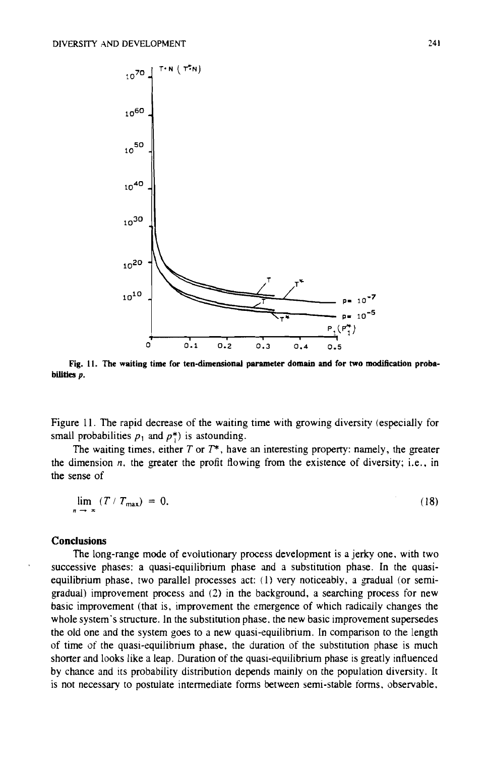

**Fig. 11. The waiting time for ten-dimensional parameter domain and for two modification probabiitiea p.** 

Figure 11. The rapid decrease of the waiting time with growing diversity (especially for small probabilities  $p_1$  and  $p_1^*$  is astounding.

The waiting times, either  $T$  or  $T^*$ , have an interesting property: namely, the greater the dimension **n.** the greater the profit flowing from the existence of diversity; i.e., in the sense of

$$
\lim_{n \to \infty} (T/T_{\text{max}}) = 0. \tag{18}
$$

# **Conclusions**

The long-range mode of evolutionary process development is a jerky one. with two successive phases: a quasi-equilibrium phase and a substitution phase. In the quasiequilibrium phase, two parallel processes act:  $(1)$  very noticeably, a gradual (or semigradual) improvement process and (2) in the background, a searching process for new basic improvement (that is, improvement the emergence of which radically changes the whole system's structure. In the substitution phase. the new basic improvement supersedes the old one and the system goes to a new quasi-equilibrium. In comparison to the length of time of the quasi-equilibrium phase, the duration of the substitution phase is much shorter and looks like a leap. Duration of the quasi-equilibrium phase is greatly influenced by chance and its probability distribution depends mainly on the population diversity. It is not necessary to postulate intermediate forms between semi-stable forms, observable,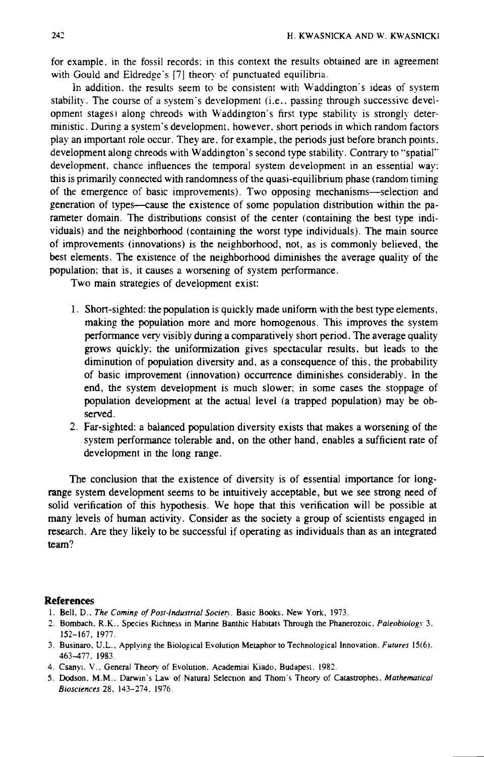for example. in the fossil records; in this context the results obtained are in agreement with Gould and Eldredge's [7] theory of punctuated equilibria.

In addition. the results seem to be consistent with Waddington's ideas of system stability. The course of a system's development (i.e., passing through successive development stages) along chreods with Waddington's first type stability is strongly deterministic. During a system's development, however, short periods in which random factors play an important role occur. They are. for example, the periods just before branch points. development along chreods with Waddington's second type stability. Contrary to "spatial" development, chance influences the temporal system development in an essential way; this is primarily connected with randomness of the quasi-equilibrium phase (random timing of the emergence of basic improvements). Two opposing mechanisms-selection and generation of types--cause the existence of some population distribution within the parameter domain. The distributions consist of the center (containing the best type individuals) and the neighborhood (containing the worst type individuals). The main source of improvements (innovations) is the neighborhood, not, as is commonly believed, the best elements. The existence of the neighborhood diminishes the average quality of the population; that is, it causes a worsening of system performance.

Two main strategies of development exist:

- 1. Short-sighted: the population is quickly made uniform with the best type elements, making the population more and more homogenous. This improves the system performance very visibly during a comparatively short period. The average quality grows quickly: the uniformization gives spectacular results, but leads to the diminution of population diversity and, as a consequence of this. the probability of basic improvement (innovation) occurrence diminishes considerably. In the end, the system development is much slower; in some cases the stoppage of population development at the actual level (a trapped population) may be observed.
- **2.** Far-sighted: a balanced population diversity exists that makes a worsening of the system performance tolerable and, on the other hand, enables a sufficient rate of development in the long range.

The conclusion that the existence of diversity is of essential importance for longrange system development seems to be intuitively acceptable, but we see strong need of solid verification of this hypothesis. We hope that this verification will be possible at many levels of human activity. Consider as the society a group of scientists engaged in research. Are they likely to be successful if operating as individuals than as an integrated **team?** 

#### **References**

- **I. Bell, D..** *The Coming of Posr-Industrial Socien.* **Basic Books. New York, 1973.**
- 2. Bombach, R.K., Species Richness in Marine Banthic Habitats Through the Phanerozoic, *Paleobiology* 3. **152-167, 1977.**
- 3. Businaro, U.L., Applying the Biological Evolution Metaphor to Technological Innovation. *Futures* 15(6), **463-477. 1983.**
- **4. Csanyi. V.. General Theory of Evolution, Academiai Kiado. Budapest. 1981.**
- 5. Dodson, M.M.. Darwin's Law of Natural Selection and Thom's Theory of Catastrophes, Mathematical *Biosciences* **28, 143-274. 1976.**